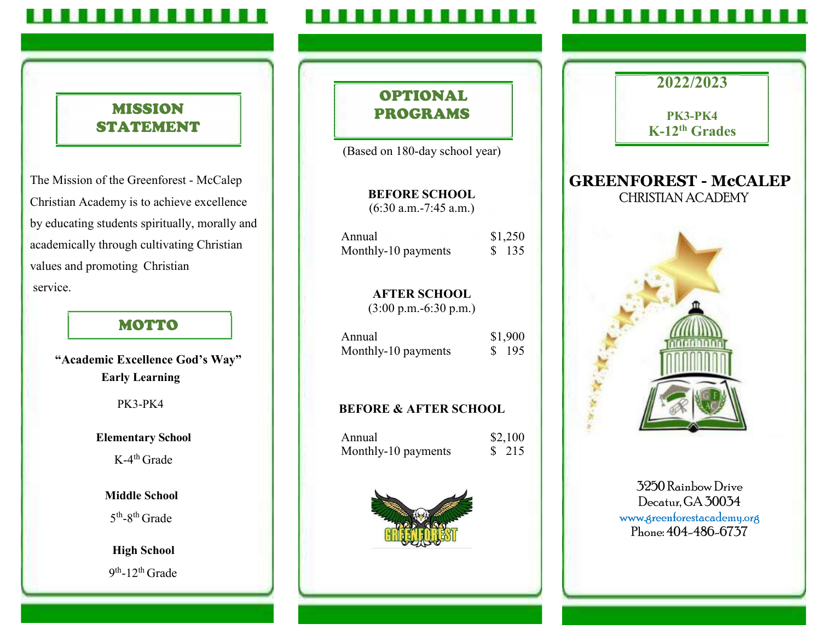#### . . . . .

## MISSION STATEMENT

The Mission of the Greenforest - McCalep Christian Academy is to achieve excellence by educating students spiritually, morally and academically through cultivating Christian values and promoting Christian service.

## MOTTO

## "Academic Excellence God's Way" Early Learning

PK3-PK4

## Elementary School

 $K-4<sup>th</sup>$  Grade

## Middle School

 $5<sup>th</sup>$ -8<sup>th</sup> Grade

High School  $9<sup>th</sup>$ -12<sup>th</sup> Grade

## OPTIONAL PROGRAMS

(Based on 180-day school year)

BEFORE SCHOOL (6:30 a.m.-7:45 a.m.)

| Annual              | \$1,250 |
|---------------------|---------|
| Monthly-10 payments | \$ 135  |

AFTER SCHOOL (3:00 p.m.-6:30 p.m.)

| Annual              | \$1,900 |  |
|---------------------|---------|--|
| Monthly-10 payments | 195     |  |

# BEFORE & AFTER SCHOOL

| Annual              | \$2,100 |  |
|---------------------|---------|--|
| Monthly-10 payments | \$ 215  |  |



## 3250 Rainbow Drive Decatur, GA 30034 www.greenforestacademy.org Phone: 404-486-6737